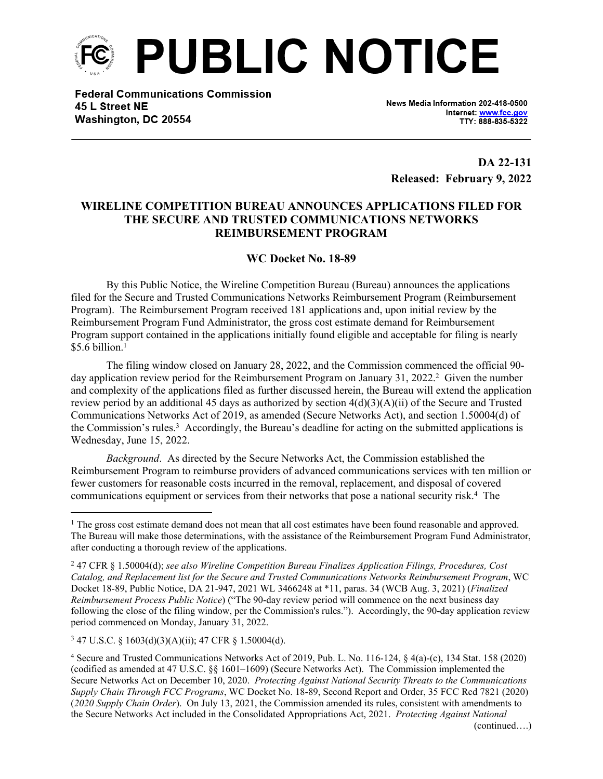

**Federal Communications Commission** 45 L Street NE Washington, DC 20554

News Media Information 202-418-0500 Internet: www.fcc.gov TTY: 888-835-5322

**DA 22-131 Released: February 9, 2022**

## **WIRELINE COMPETITION BUREAU ANNOUNCES APPLICATIONS FILED FOR THE SECURE AND TRUSTED COMMUNICATIONS NETWORKS REIMBURSEMENT PROGRAM**

## **WC Docket No. 18-89**

By this Public Notice, the Wireline Competition Bureau (Bureau) announces the applications filed for the Secure and Trusted Communications Networks Reimbursement Program (Reimbursement Program). The Reimbursement Program received 181 applications and, upon initial review by the Reimbursement Program Fund Administrator, the gross cost estimate demand for Reimbursement Program support contained in the applications initially found eligible and acceptable for filing is nearly  $$5.6$  billion.<sup>1</sup>

The filing window closed on January 28, 2022, and the Commission commenced the official 90 day application review period for the Reimbursement Program on January 31, 2022.<sup>2</sup> Given the number and complexity of the applications filed as further discussed herein, the Bureau will extend the application review period by an additional 45 days as authorized by section  $4(d)(3)(A)(ii)$  of the Secure and Trusted Communications Networks Act of 2019, as amended (Secure Networks Act), and section 1.50004(d) of the Commission's rules.<sup>3</sup> Accordingly, the Bureau's deadline for acting on the submitted applications is Wednesday, June 15, 2022.

*Background*. As directed by the Secure Networks Act, the Commission established the Reimbursement Program to reimburse providers of advanced communications services with ten million or fewer customers for reasonable costs incurred in the removal, replacement, and disposal of covered communications equipment or services from their networks that pose a national security risk.<sup>4</sup> The

<sup>&</sup>lt;sup>1</sup> The gross cost estimate demand does not mean that all cost estimates have been found reasonable and approved. The Bureau will make those determinations, with the assistance of the Reimbursement Program Fund Administrator, after conducting a thorough review of the applications.

<sup>2</sup> 47 CFR § 1.50004(d); *see also Wireline Competition Bureau Finalizes Application Filings, Procedures, Cost Catalog, and Replacement list for the Secure and Trusted Communications Networks Reimbursement Program*, WC Docket 18-89, Public Notice, DA 21-947, 2021 WL 3466248 at \*11, paras. 34 (WCB Aug. 3, 2021) (*Finalized Reimbursement Process Public Notice*) ("The 90-day review period will commence on the next business day following the close of the filing window, per the Commission's rules."). Accordingly, the 90-day application review period commenced on Monday, January 31, 2022.

<sup>3</sup> 47 U.S.C. § 1603(d)(3)(A)(ii); 47 CFR § 1.50004(d).

<sup>4</sup> Secure and Trusted Communications Networks Act of 2019, Pub. L. No. 116-124, § 4(a)-(c), 134 Stat. 158 (2020) (codified as amended at 47 U.S.C. §§ 1601–1609) (Secure Networks Act). The Commission implemented the Secure Networks Act on December 10, 2020. *Protecting Against National Security Threats to the Communications Supply Chain Through FCC Programs*, WC Docket No. 18-89, Second Report and Order, 35 FCC Rcd 7821 (2020) (*2020 Supply Chain Order*). On July 13, 2021, the Commission amended its rules, consistent with amendments to the Secure Networks Act included in the Consolidated Appropriations Act, 2021. *Protecting Against National*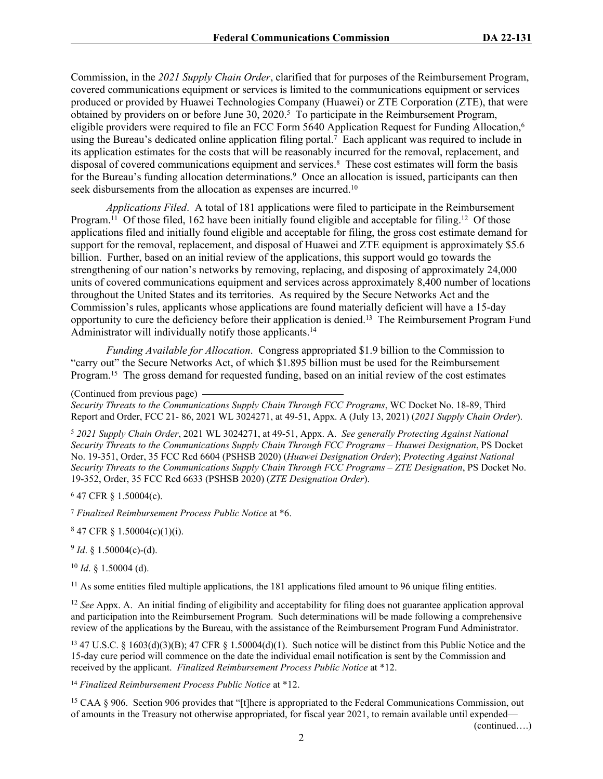Commission, in the *2021 Supply Chain Order*, clarified that for purposes of the Reimbursement Program, covered communications equipment or services is limited to the communications equipment or services produced or provided by Huawei Technologies Company (Huawei) or ZTE Corporation (ZTE), that were obtained by providers on or before June 30, 2020.<sup>5</sup> To participate in the Reimbursement Program, eligible providers were required to file an FCC Form 5640 Application Request for Funding Allocation,<sup>6</sup> using the Bureau's dedicated online application filing portal.<sup>7</sup> Each applicant was required to include in its application estimates for the costs that will be reasonably incurred for the removal, replacement, and disposal of covered communications equipment and services.<sup>8</sup> These cost estimates will form the basis for the Bureau's funding allocation determinations.<sup>9</sup> Once an allocation is issued, participants can then seek disbursements from the allocation as expenses are incurred.<sup>10</sup>

*Applications Filed*. A total of 181 applications were filed to participate in the Reimbursement Program.<sup>11</sup> Of those filed, 162 have been initially found eligible and acceptable for filing.<sup>12</sup> Of those applications filed and initially found eligible and acceptable for filing, the gross cost estimate demand for support for the removal, replacement, and disposal of Huawei and ZTE equipment is approximately \$5.6 billion. Further, based on an initial review of the applications, this support would go towards the strengthening of our nation's networks by removing, replacing, and disposing of approximately 24,000 units of covered communications equipment and services across approximately 8,400 number of locations throughout the United States and its territories. As required by the Secure Networks Act and the Commission's rules, applicants whose applications are found materially deficient will have a 15-day opportunity to cure the deficiency before their application is denied.<sup>13</sup> The Reimbursement Program Fund Administrator will individually notify those applicants.<sup>14</sup>

*Funding Available for Allocation*. Congress appropriated \$1.9 billion to the Commission to "carry out" the Secure Networks Act, of which \$1.895 billion must be used for the Reimbursement Program.<sup>15</sup> The gross demand for requested funding, based on an initial review of the cost estimates

*Security Threats to the Communications Supply Chain Through FCC Programs*, WC Docket No. 18-89, Third Report and Order, FCC 21- 86, 2021 WL 3024271, at 49-51, Appx. A (July 13, 2021) (*2021 Supply Chain Order*).

<sup>5</sup> *2021 Supply Chain Order*, 2021 WL 3024271, at 49-51, Appx. A. *See generally Protecting Against National Security Threats to the Communications Supply Chain Through FCC Programs – Huawei Designation*, PS Docket No. 19-351, Order, 35 FCC Rcd 6604 (PSHSB 2020) (*Huawei Designation Order*); *Protecting Against National Security Threats to the Communications Supply Chain Through FCC Programs – ZTE Designation*, PS Docket No. 19-352, Order, 35 FCC Rcd 6633 (PSHSB 2020) (*ZTE Designation Order*).

6 47 CFR § 1.50004(c).

<sup>7</sup> *Finalized Reimbursement Process Public Notice* at \*6.

 $847$  CFR § 1.50004(c)(1)(i).

 $9$  *Id*. § 1.50004(c)-(d).

<sup>10</sup> *Id*. § 1.50004 (d).

<sup>11</sup> As some entities filed multiple applications, the 181 applications filed amount to 96 unique filing entities.

<sup>12</sup> *See* Appx. A. An initial finding of eligibility and acceptability for filing does not guarantee application approval and participation into the Reimbursement Program. Such determinations will be made following a comprehensive review of the applications by the Bureau, with the assistance of the Reimbursement Program Fund Administrator.

<sup>13</sup> 47 U.S.C. § 1603(d)(3)(B); 47 CFR § 1.50004(d)(1). Such notice will be distinct from this Public Notice and the 15-day cure period will commence on the date the individual email notification is sent by the Commission and received by the applicant. *Finalized Reimbursement Process Public Notice* at \*12.

<sup>14</sup> *Finalized Reimbursement Process Public Notice* at \*12.

<sup>15</sup> CAA § 906. Section 906 provides that "[t]here is appropriated to the Federal Communications Commission, out of amounts in the Treasury not otherwise appropriated, for fiscal year 2021, to remain available until expended—

(continued….)

<sup>(</sup>Continued from previous page)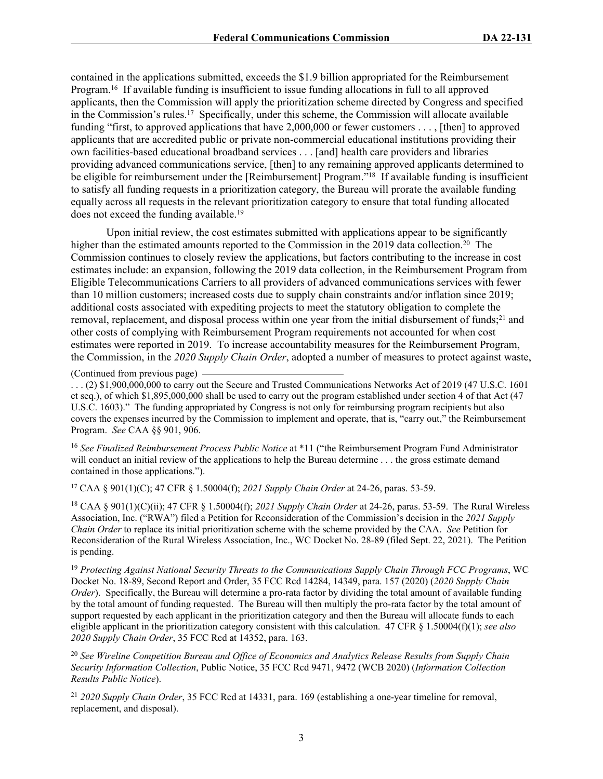contained in the applications submitted, exceeds the \$1.9 billion appropriated for the Reimbursement Program.<sup>16</sup> If available funding is insufficient to issue funding allocations in full to all approved applicants, then the Commission will apply the prioritization scheme directed by Congress and specified in the Commission's rules.<sup>17</sup> Specifically, under this scheme, the Commission will allocate available funding "first, to approved applications that have 2,000,000 or fewer customers . . . , [then] to approved applicants that are accredited public or private non-commercial educational institutions providing their own facilities-based educational broadband services . . . [and] health care providers and libraries providing advanced communications service, [then] to any remaining approved applicants determined to be eligible for reimbursement under the [Reimbursement] Program."<sup>18</sup> If available funding is insufficient to satisfy all funding requests in a prioritization category, the Bureau will prorate the available funding equally across all requests in the relevant prioritization category to ensure that total funding allocated does not exceed the funding available.<sup>19</sup>

Upon initial review, the cost estimates submitted with applications appear to be significantly higher than the estimated amounts reported to the Commission in the 2019 data collection.<sup>20</sup> The Commission continues to closely review the applications, but factors contributing to the increase in cost estimates include: an expansion, following the 2019 data collection, in the Reimbursement Program from Eligible Telecommunications Carriers to all providers of advanced communications services with fewer than 10 million customers; increased costs due to supply chain constraints and/or inflation since 2019; additional costs associated with expediting projects to meet the statutory obligation to complete the removal, replacement, and disposal process within one year from the initial disbursement of funds;<sup>21</sup> and other costs of complying with Reimbursement Program requirements not accounted for when cost estimates were reported in 2019. To increase accountability measures for the Reimbursement Program, the Commission, in the *2020 Supply Chain Order*, adopted a number of measures to protect against waste,

(Continued from previous page)

. . . (2) \$1,900,000,000 to carry out the Secure and Trusted Communications Networks Act of 2019 (47 U.S.C. 1601 et seq.), of which \$1,895,000,000 shall be used to carry out the program established under section 4 of that Act (47 U.S.C. 1603)." The funding appropriated by Congress is not only for reimbursing program recipients but also covers the expenses incurred by the Commission to implement and operate, that is, "carry out," the Reimbursement Program. *See* CAA §§ 901, 906.

<sup>16</sup> *See Finalized Reimbursement Process Public Notice* at \*11 ("the Reimbursement Program Fund Administrator will conduct an initial review of the applications to help the Bureau determine . . . the gross estimate demand contained in those applications.").

<sup>17</sup> CAA § 901(1)(C); 47 CFR § 1.50004(f); *2021 Supply Chain Order* at 24-26, paras. 53-59.

<sup>18</sup> CAA § 901(1)(C)(ii); 47 CFR § 1.50004(f); *2021 Supply Chain Order* at 24-26, paras. 53-59. The Rural Wireless Association, Inc. ("RWA") filed a Petition for Reconsideration of the Commission's decision in the *2021 Supply Chain Order* to replace its initial prioritization scheme with the scheme provided by the CAA. *See* Petition for Reconsideration of the Rural Wireless Association, Inc., WC Docket No. 28-89 (filed Sept. 22, 2021). The Petition is pending.

<sup>19</sup> *Protecting Against National Security Threats to the Communications Supply Chain Through FCC Programs*, WC Docket No. 18-89, Second Report and Order, 35 FCC Rcd 14284, 14349, para. 157 (2020) (*2020 Supply Chain Order*). Specifically, the Bureau will determine a pro-rata factor by dividing the total amount of available funding by the total amount of funding requested. The Bureau will then multiply the pro-rata factor by the total amount of support requested by each applicant in the prioritization category and then the Bureau will allocate funds to each eligible applicant in the prioritization category consistent with this calculation. 47 CFR § 1.50004(f)(1); *see also 2020 Supply Chain Order*, 35 FCC Rcd at 14352, para. 163.

<sup>20</sup> *See Wireline Competition Bureau and Office of Economics and Analytics Release Results from Supply Chain Security Information Collection*, Public Notice, 35 FCC Rcd 9471, 9472 (WCB 2020) (*Information Collection Results Public Notice*).

<sup>21</sup> *2020 Supply Chain Order*, 35 FCC Rcd at 14331, para. 169 (establishing a one-year timeline for removal, replacement, and disposal).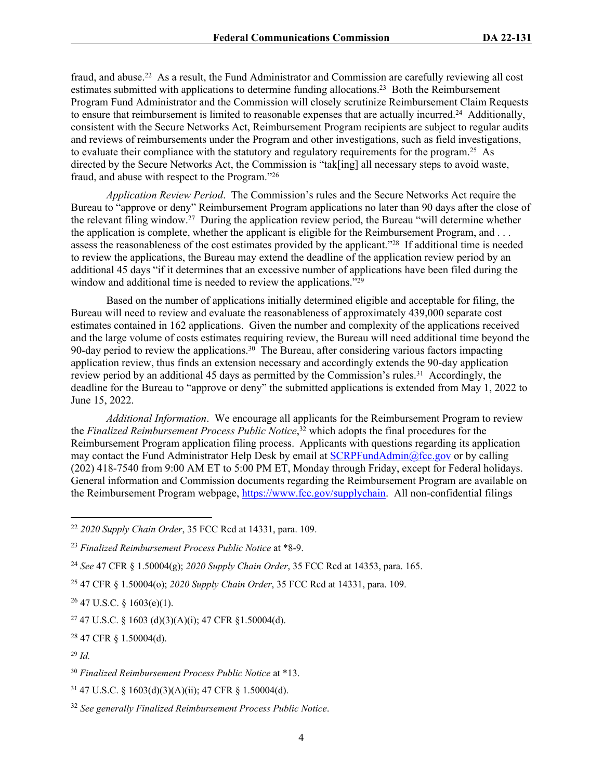fraud, and abuse.<sup>22</sup> As a result, the Fund Administrator and Commission are carefully reviewing all cost estimates submitted with applications to determine funding allocations.<sup>23</sup> Both the Reimbursement Program Fund Administrator and the Commission will closely scrutinize Reimbursement Claim Requests to ensure that reimbursement is limited to reasonable expenses that are actually incurred.<sup>24</sup> Additionally, consistent with the Secure Networks Act, Reimbursement Program recipients are subject to regular audits and reviews of reimbursements under the Program and other investigations, such as field investigations, to evaluate their compliance with the statutory and regulatory requirements for the program.<sup>25</sup> As directed by the Secure Networks Act, the Commission is "tak[ing] all necessary steps to avoid waste, fraud, and abuse with respect to the Program."<sup>26</sup>

*Application Review Period*. The Commission's rules and the Secure Networks Act require the Bureau to "approve or deny" Reimbursement Program applications no later than 90 days after the close of the relevant filing window.<sup>27</sup> During the application review period, the Bureau "will determine whether the application is complete, whether the applicant is eligible for the Reimbursement Program, and . . . assess the reasonableness of the cost estimates provided by the applicant."<sup>28</sup> If additional time is needed to review the applications, the Bureau may extend the deadline of the application review period by an additional 45 days "if it determines that an excessive number of applications have been filed during the window and additional time is needed to review the applications."<sup>29</sup>

Based on the number of applications initially determined eligible and acceptable for filing, the Bureau will need to review and evaluate the reasonableness of approximately 439,000 separate cost estimates contained in 162 applications. Given the number and complexity of the applications received and the large volume of costs estimates requiring review, the Bureau will need additional time beyond the 90-day period to review the applications.<sup>30</sup> The Bureau, after considering various factors impacting application review, thus finds an extension necessary and accordingly extends the 90-day application review period by an additional 45 days as permitted by the Commission's rules.<sup>31</sup> Accordingly, the deadline for the Bureau to "approve or deny" the submitted applications is extended from May 1, 2022 to June 15, 2022.

*Additional Information*. We encourage all applicants for the Reimbursement Program to review the *Finalized Reimbursement Process Public Notice*, <sup>32</sup> which adopts the final procedures for the Reimbursement Program application filing process. Applicants with questions regarding its application may contact the Fund Administrator Help Desk by email at [SCRPFundAdmin@fcc.gov](mailto:SCRPFundAdmin@fcc.gov) or by calling (202) 418-7540 from 9:00 AM ET to 5:00 PM ET, Monday through Friday, except for Federal holidays. General information and Commission documents regarding the Reimbursement Program are available on the Reimbursement Program webpage, [https://www.fcc.gov/supplychain.](https://www.fcc.gov/supplychain) All non-confidential filings

 $26$  47 U.S.C. § 1603(e)(1).

 $27$  47 U.S.C. § 1603 (d)(3)(A)(i); 47 CFR § 1.50004(d).

<sup>28</sup> 47 CFR § 1.50004(d).

<sup>22</sup> *2020 Supply Chain Order*, 35 FCC Rcd at 14331, para. 109.

<sup>23</sup> *Finalized Reimbursement Process Public Notice* at \*8-9.

<sup>24</sup> *See* 47 CFR § 1.50004(g); *2020 Supply Chain Order*, 35 FCC Rcd at 14353, para. 165.

<sup>25</sup> 47 CFR § 1.50004(o); *2020 Supply Chain Order*, 35 FCC Rcd at 14331, para. 109.

<sup>29</sup> *Id.*

<sup>30</sup> *Finalized Reimbursement Process Public Notice* at \*13.

<sup>31</sup> 47 U.S.C. § 1603(d)(3)(A)(ii); 47 CFR § 1.50004(d).

<sup>32</sup> *See generally Finalized Reimbursement Process Public Notice*.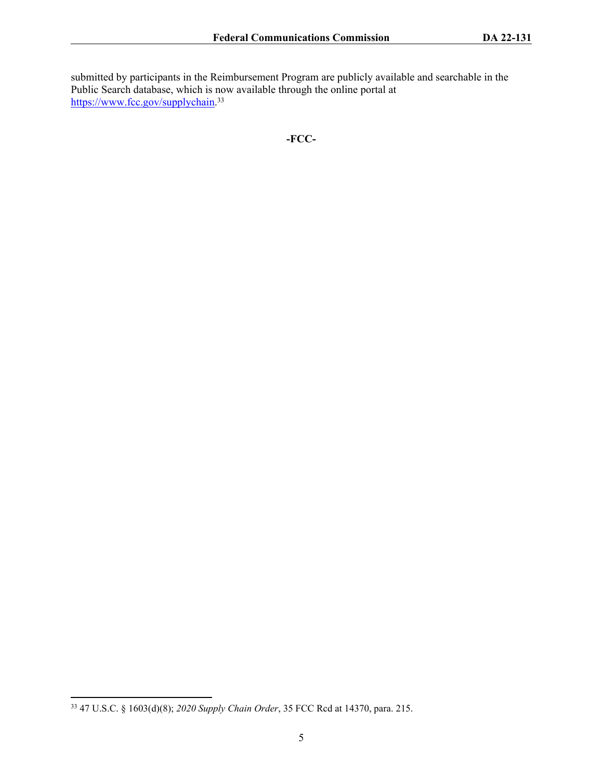submitted by participants in the Reimbursement Program are publicly available and searchable in the Public Search database, which is now available through the online portal at <https://www.fcc.gov/supplychain>.<sup>33</sup>

**-FCC-**

<sup>33</sup> 47 U.S.C. § 1603(d)(8); *2020 Supply Chain Order*, 35 FCC Rcd at 14370, para. 215.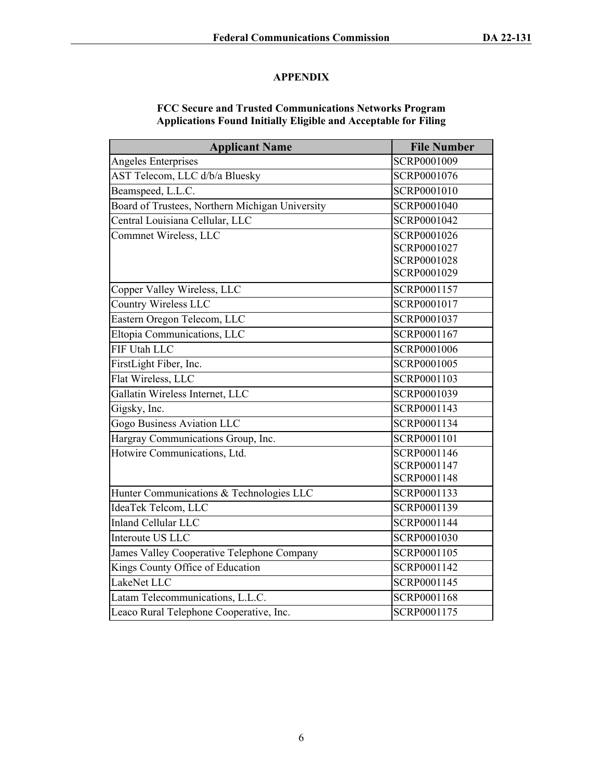## **APPENDIX**

## **FCC Secure and Trusted Communications Networks Program Applications Found Initially Eligible and Acceptable for Filing**

| <b>Applicant Name</b>                           | <b>File Number</b> |
|-------------------------------------------------|--------------------|
| Angeles Enterprises                             | SCRP0001009        |
| AST Telecom, LLC d/b/a Bluesky                  | SCRP0001076        |
| Beamspeed, L.L.C.                               | SCRP0001010        |
| Board of Trustees, Northern Michigan University | SCRP0001040        |
| Central Louisiana Cellular, LLC                 | SCRP0001042        |
| Commnet Wireless, LLC                           | SCRP0001026        |
|                                                 | SCRP0001027        |
|                                                 | SCRP0001028        |
|                                                 | SCRP0001029        |
| Copper Valley Wireless, LLC                     | SCRP0001157        |
| <b>Country Wireless LLC</b>                     | SCRP0001017        |
| Eastern Oregon Telecom, LLC                     | SCRP0001037        |
| Eltopia Communications, LLC                     | SCRP0001167        |
| FIF Utah LLC                                    | SCRP0001006        |
| FirstLight Fiber, Inc.                          | SCRP0001005        |
| Flat Wireless, LLC                              | SCRP0001103        |
| Gallatin Wireless Internet, LLC                 | SCRP0001039        |
| Gigsky, Inc.                                    | SCRP0001143        |
| Gogo Business Aviation LLC                      | SCRP0001134        |
| Hargray Communications Group, Inc.              | SCRP0001101        |
| Hotwire Communications, Ltd.                    | SCRP0001146        |
|                                                 | SCRP0001147        |
|                                                 | SCRP0001148        |
| Hunter Communications & Technologies LLC        | SCRP0001133        |
| IdeaTek Telcom, LLC                             | SCRP0001139        |
| <b>Inland Cellular LLC</b>                      | SCRP0001144        |
| Interoute US LLC                                | SCRP0001030        |
| James Valley Cooperative Telephone Company      | SCRP0001105        |
| Kings County Office of Education                | SCRP0001142        |
| LakeNet LLC                                     | SCRP0001145        |
| Latam Telecommunications, L.L.C.                | SCRP0001168        |
| Leaco Rural Telephone Cooperative, Inc.         | SCRP0001175        |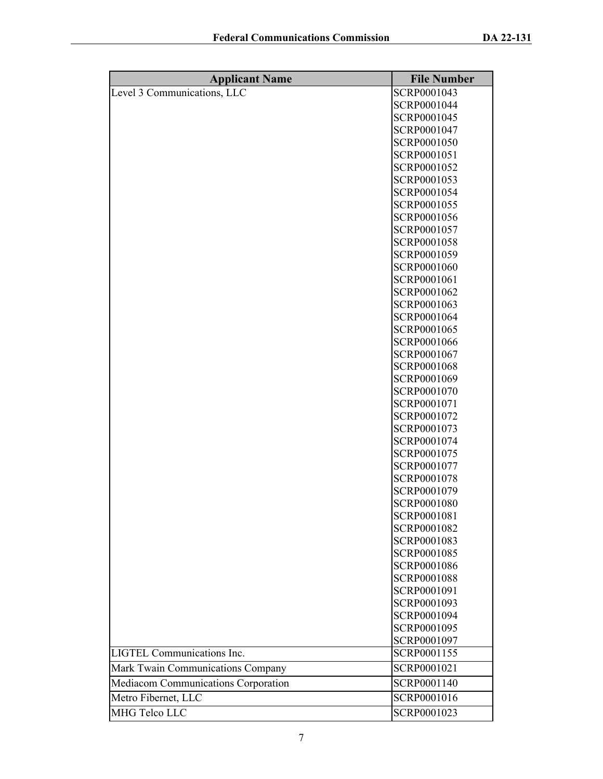| <b>Applicant Name</b>               | <b>File Number</b> |
|-------------------------------------|--------------------|
| Level 3 Communications, LLC         | SCRP0001043        |
|                                     | SCRP0001044        |
|                                     | SCRP0001045        |
|                                     | SCRP0001047        |
|                                     | SCRP0001050        |
|                                     | SCRP0001051        |
|                                     | SCRP0001052        |
|                                     | SCRP0001053        |
|                                     | SCRP0001054        |
|                                     | SCRP0001055        |
|                                     | SCRP0001056        |
|                                     | SCRP0001057        |
|                                     | SCRP0001058        |
|                                     | SCRP0001059        |
|                                     | SCRP0001060        |
|                                     | SCRP0001061        |
|                                     | SCRP0001062        |
|                                     | SCRP0001063        |
|                                     | SCRP0001064        |
|                                     | SCRP0001065        |
|                                     | SCRP0001066        |
|                                     | SCRP0001067        |
|                                     | SCRP0001068        |
|                                     | SCRP0001069        |
|                                     | SCRP0001070        |
|                                     | SCRP0001071        |
|                                     | SCRP0001072        |
|                                     | SCRP0001073        |
|                                     | SCRP0001074        |
|                                     | SCRP0001075        |
|                                     | SCRP0001077        |
|                                     | SCRP0001078        |
|                                     | SCRP0001079        |
|                                     | SCRP0001080        |
|                                     | SCRP0001081        |
|                                     | SCRP0001082        |
|                                     | SCRP0001083        |
|                                     | SCRP0001085        |
|                                     | SCRP0001086        |
|                                     | SCRP0001088        |
|                                     | SCRP0001091        |
|                                     | SCRP0001093        |
|                                     | SCRP0001094        |
|                                     | SCRP0001095        |
|                                     | SCRP0001097        |
| <b>LIGTEL Communications Inc.</b>   | SCRP0001155        |
| Mark Twain Communications Company   | SCRP0001021        |
| Mediacom Communications Corporation | SCRP0001140        |
| Metro Fibernet, LLC                 | SCRP0001016        |
| MHG Telco LLC                       | SCRP0001023        |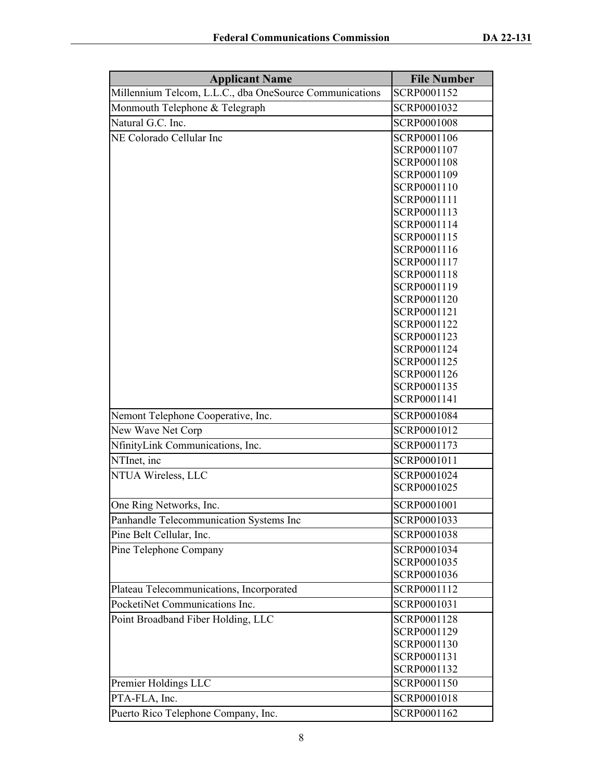| <b>Applicant Name</b>                                   | <b>File Number</b>         |
|---------------------------------------------------------|----------------------------|
| Millennium Telcom, L.L.C., dba OneSource Communications | SCRP0001152                |
| Monmouth Telephone & Telegraph                          | SCRP0001032                |
| Natural G.C. Inc.                                       | SCRP0001008                |
| NE Colorado Cellular Inc                                | SCRP0001106                |
|                                                         | SCRP0001107                |
|                                                         | SCRP0001108                |
|                                                         | SCRP0001109                |
|                                                         | SCRP0001110                |
|                                                         | SCRP0001111                |
|                                                         | SCRP0001113                |
|                                                         | SCRP0001114                |
|                                                         | SCRP0001115                |
|                                                         | SCRP0001116                |
|                                                         | SCRP0001117                |
|                                                         | SCRP0001118                |
|                                                         | SCRP0001119<br>SCRP0001120 |
|                                                         | SCRP0001121                |
|                                                         | SCRP0001122                |
|                                                         | SCRP0001123                |
|                                                         | SCRP0001124                |
|                                                         | SCRP0001125                |
|                                                         | SCRP0001126                |
|                                                         | SCRP0001135                |
|                                                         | SCRP0001141                |
| Nemont Telephone Cooperative, Inc.                      | SCRP0001084                |
| New Wave Net Corp                                       | SCRP0001012                |
| NfinityLink Communications, Inc.                        | SCRP0001173                |
| NTInet, inc                                             | SCRP0001011                |
| NTUA Wireless, LLC                                      | SCRP0001024                |
|                                                         | SCRP0001025                |
| One Ring Networks, Inc.                                 | SCRP0001001                |
| Panhandle Telecommunication Systems Inc                 | SCRP0001033                |
| Pine Belt Cellular, Inc.                                | SCRP0001038                |
| Pine Telephone Company                                  | SCRP0001034                |
|                                                         | SCRP0001035                |
|                                                         | SCRP0001036                |
| Plateau Telecommunications, Incorporated                | SCRP0001112                |
| PocketiNet Communications Inc.                          | SCRP0001031                |
| Point Broadband Fiber Holding, LLC                      | SCRP0001128                |
|                                                         | SCRP0001129                |
|                                                         | SCRP0001130                |
|                                                         | SCRP0001131                |
|                                                         | SCRP0001132                |
| Premier Holdings LLC                                    | SCRP0001150                |
| PTA-FLA, Inc.                                           | SCRP0001018                |
| Puerto Rico Telephone Company, Inc.                     | SCRP0001162                |